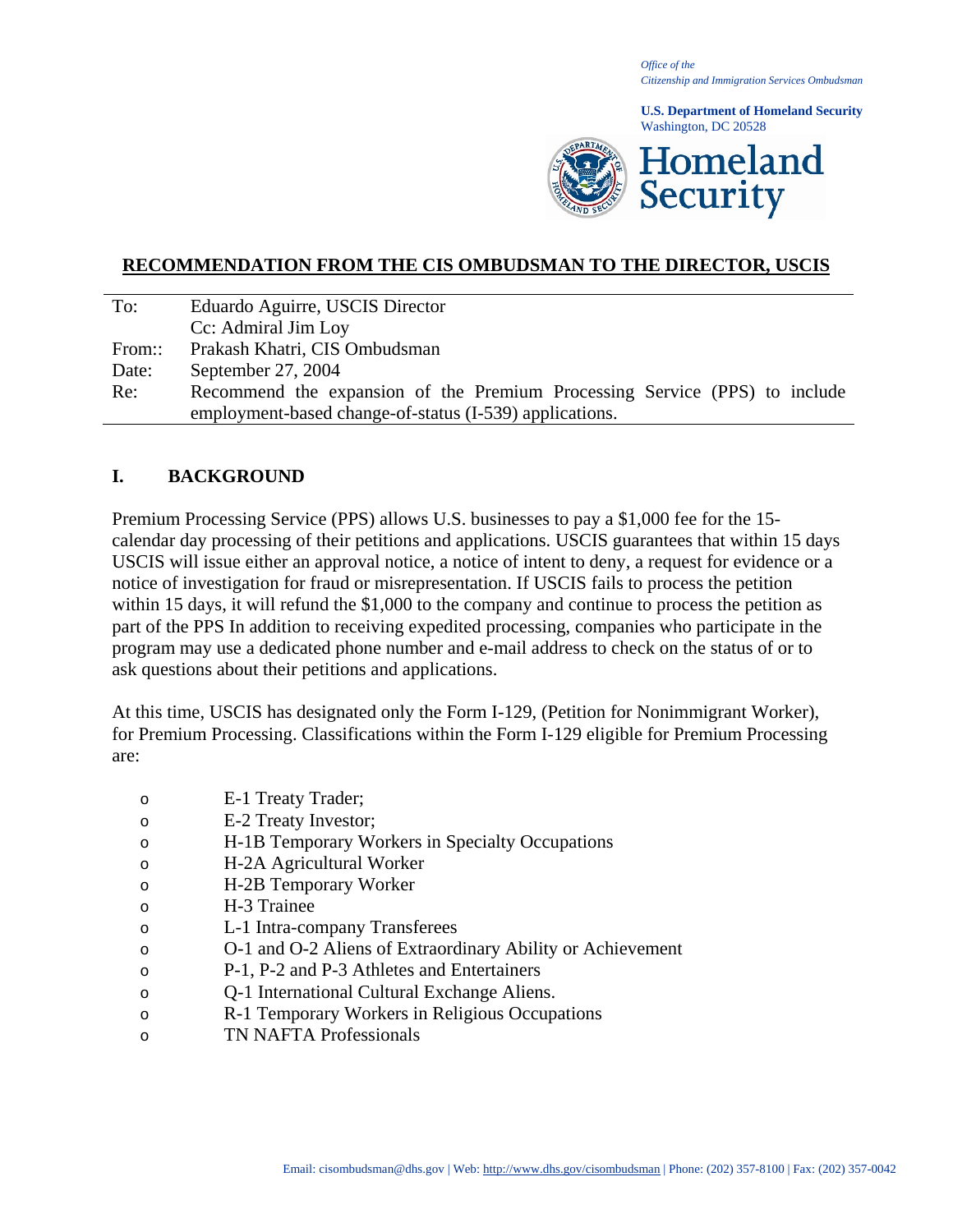*Office of the Citizenship and Immigration Services Ombudsman*

**U.S. Department of Homeland Security** Washington, DC 20528



#### **RECOMMENDATION FROM THE CIS OMBUDSMAN TO THE DIRECTOR, USCIS**

| To:    | Eduardo Aguirre, USCIS Director                                            |
|--------|----------------------------------------------------------------------------|
|        | Cc: Admiral Jim Loy                                                        |
| From:: | Prakash Khatri, CIS Ombudsman                                              |
| Date:  | September 27, 2004                                                         |
| Re:    | Recommend the expansion of the Premium Processing Service (PPS) to include |
|        | employment-based change-of-status (I-539) applications.                    |

#### **I. BACKGROUND**

Premium Processing Service (PPS) allows U.S. businesses to pay a \$1,000 fee for the 15 calendar day processing of their petitions and applications. USCIS guarantees that within 15 days USCIS will issue either an approval notice, a notice of intent to deny, a request for evidence or a notice of investigation for fraud or misrepresentation. If USCIS fails to process the petition within 15 days, it will refund the \$1,000 to the company and continue to process the petition as part of the PPS In addition to receiving expedited processing, companies who participate in the program may use a dedicated phone number and e-mail address to check on the status of or to ask questions about their petitions and applications.

At this time, USCIS has designated only the Form I-129, (Petition for Nonimmigrant Worker), for Premium Processing. Classifications within the Form I-129 eligible for Premium Processing are:

- o E-1 Treaty Trader;
- o E-2 Treaty Investor;
- o H-1B Temporary Workers in Specialty Occupations
- o H-2A Agricultural Worker
- o H-2B Temporary Worker
- o H-3 Trainee
- o L-1 Intra-company Transferees
- o O-1 and O-2 Aliens of Extraordinary Ability or Achievement
- o P-1, P-2 and P-3 Athletes and Entertainers
- o Q-1 International Cultural Exchange Aliens.
- o R-1 Temporary Workers in Religious Occupations
- o TN NAFTA Professionals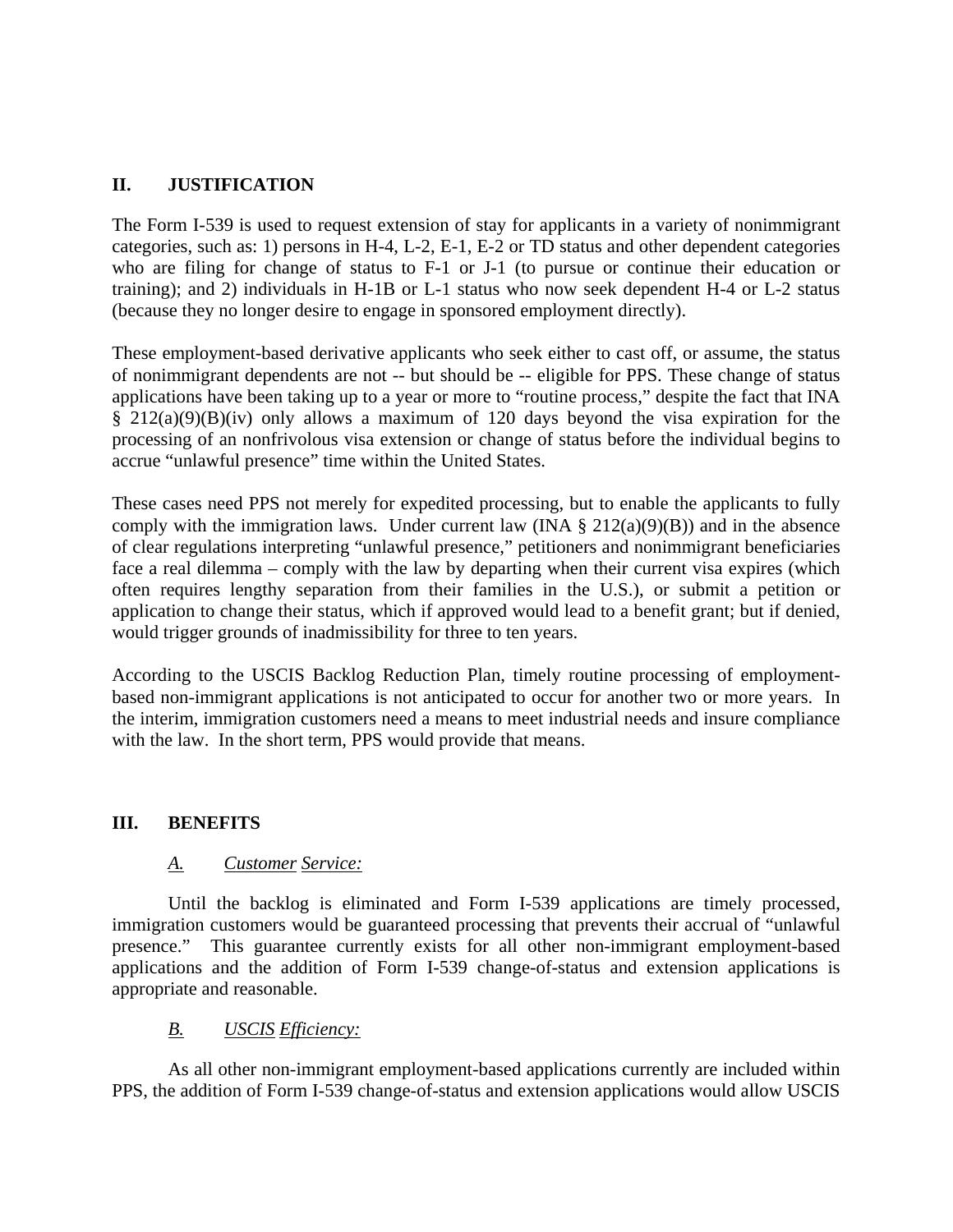# **II. JUSTIFICATION**

The Form I-539 is used to request extension of stay for applicants in a variety of nonimmigrant categories, such as: 1) persons in H-4, L-2, E-1, E-2 or TD status and other dependent categories who are filing for change of status to F-1 or J-1 (to pursue or continue their education or training); and 2) individuals in H-1B or L-1 status who now seek dependent H-4 or L-2 status (because they no longer desire to engage in sponsored employment directly).

These employment-based derivative applicants who seek either to cast off, or assume, the status of nonimmigrant dependents are not -- but should be -- eligible for PPS. These change of status applications have been taking up to a year or more to "routine process," despite the fact that INA § 212(a)(9)(B)(iv) only allows a maximum of 120 days beyond the visa expiration for the processing of an nonfrivolous visa extension or change of status before the individual begins to accrue "unlawful presence" time within the United States.

These cases need PPS not merely for expedited processing, but to enable the applicants to fully comply with the immigration laws. Under current law (INA  $\S 212(a)(9)(B)$ ) and in the absence of clear regulations interpreting "unlawful presence," petitioners and nonimmigrant beneficiaries face a real dilemma – comply with the law by departing when their current visa expires (which often requires lengthy separation from their families in the U.S.), or submit a petition or application to change their status, which if approved would lead to a benefit grant; but if denied, would trigger grounds of inadmissibility for three to ten years.

According to the USCIS Backlog Reduction Plan, timely routine processing of employmentbased non-immigrant applications is not anticipated to occur for another two or more years. In the interim, immigration customers need a means to meet industrial needs and insure compliance with the law. In the short term, PPS would provide that means.

## **III. BENEFITS**

## *A. Customer Service:*

 Until the backlog is eliminated and Form I-539 applications are timely processed, immigration customers would be guaranteed processing that prevents their accrual of "unlawful presence." This guarantee currently exists for all other non-immigrant employment-based applications and the addition of Form I-539 change-of-status and extension applications is appropriate and reasonable.

## *B. USCIS Efficiency:*

As all other non-immigrant employment-based applications currently are included within PPS, the addition of Form I-539 change-of-status and extension applications would allow USCIS